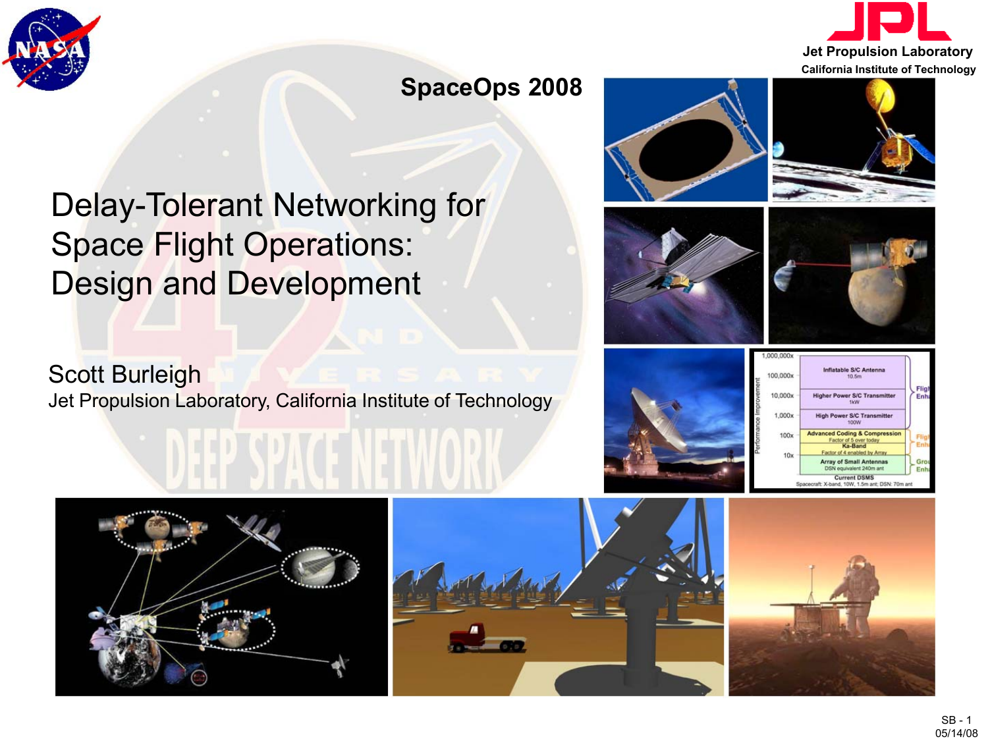



#### **SpaceOps 2008**

# Delay-Tolerant Networking for Space Flight Operations: Design and Development

Scott Burleigh Jet Propulsion Laboratory, California Institute of Technology















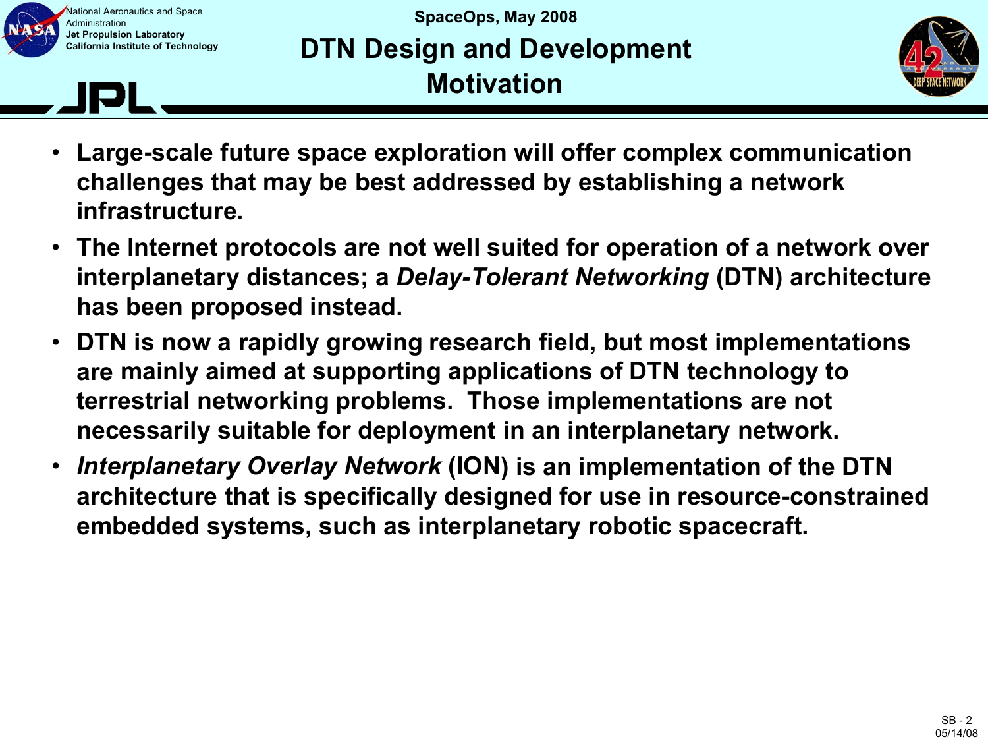

### **SpaceOps, May 2008 DTN Design and Development Motivation**



- **Large-scale future space exploration will offer complex communication challenges that may be best addressed by establishing a network infrastructure.**
- **The Internet protocols are not well suited for operation of a network over interplanetary distances; a** *Delay-Tolerant Networking* **(DTN) architecture has been proposed instead.**
- **DTN is now a rapidly growing research field, but most implementations are mainly aimed at supporting applications of DTN technology to terrestrial networking problems. Those implementations are not necessarily suitable for deployment in an interplanetary network.**
- *Interplanetary Overlay Network* **(ION) is an implementation of the DTN architecture that is specifically designed for use in resource-constrained embedded systems, such as interplanetary robotic spacecraft.**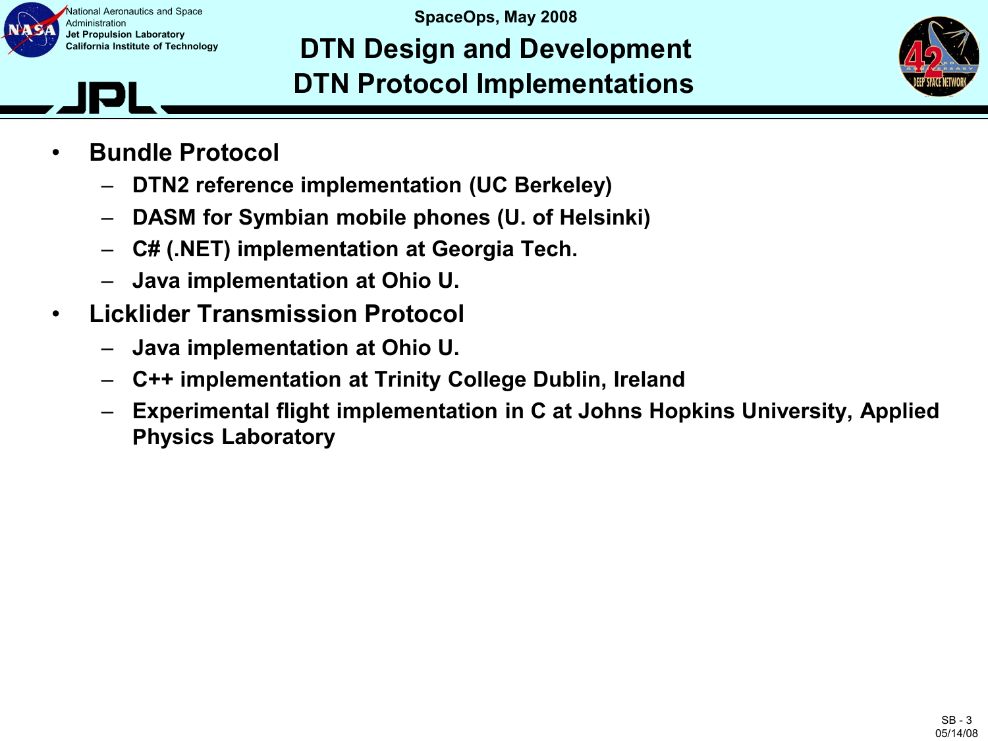

**SpaceOps, May 2008 DTN Design and Development DTN Protocol Implementations**



- **Bundle Protocol**
	- **DTN2 reference implementation (UC Berkeley)**
	- **DASM for Symbian mobile phones (U. of Helsinki)**
	- **C# (.NET) implementation at Georgia Tech.**
	- **Java implementation at Ohio U.**
- **Licklider Transmission Protocol**
	- **Java implementation at Ohio U.**
	- **C++ implementation at Trinity College Dublin, Ireland**
	- **Experimental flight implementation in C at Johns Hopkins University, Applied Physics Laboratory**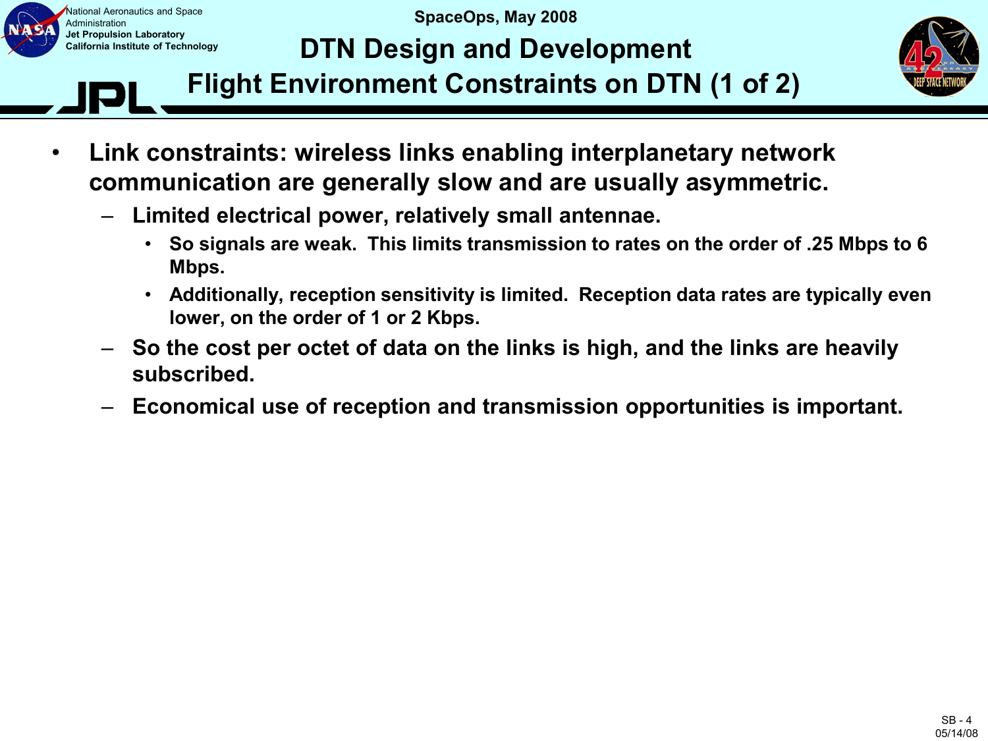

**SpaceOps, May 2008**

## **DTN Design and Development**



**Flight Environment Constraints on DTN (1 of 2)**

- **Link constraints: wireless links enabling interplanetary network communication are generally slow and are usually asymmetric.**
	- **Limited electrical power, relatively small antennae.**
		- **So signals are weak. This limits transmission to rates on the order of .25 Mbps to 6 Mbps.**
		- **Additionally, reception sensitivity is limited. Reception data rates are typically even lower, on the order of 1 or 2 Kbps.**
	- **So the cost per octet of data on the links is high, and the links are heavily subscribed.**
	- **Economical use of reception and transmission opportunities is important.**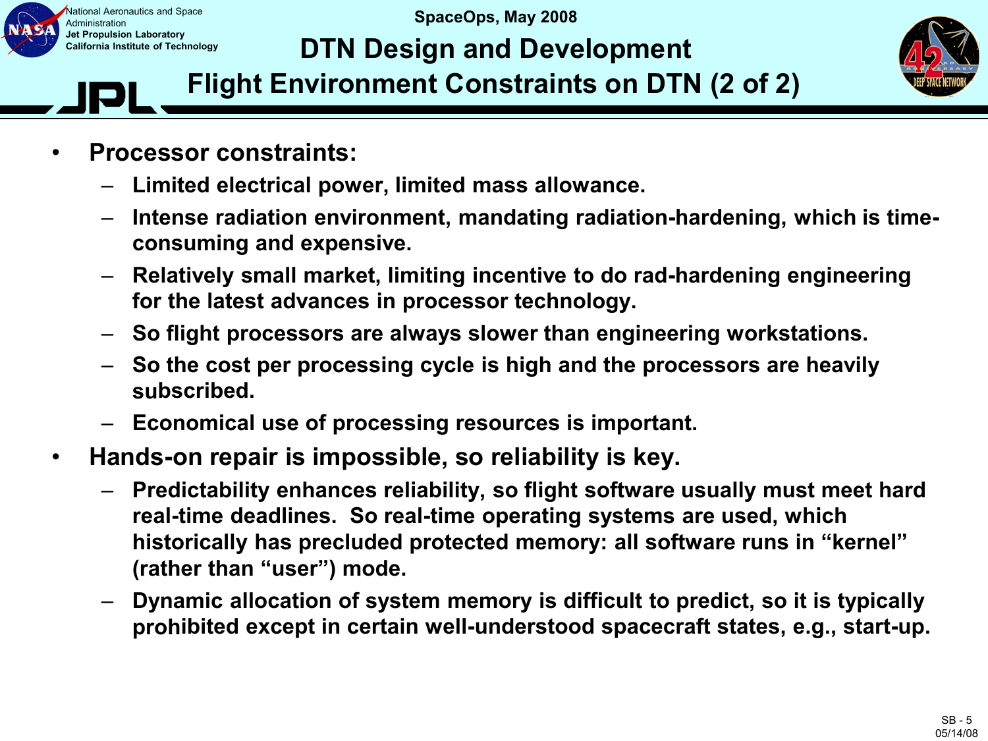

**SpaceOps, May 2008**

## **DTN Design and Development**



**Flight Environment Constraints on DTN (2 of 2)**

- **Processor constraints:**
	- **Limited electrical power, limited mass allowance.**
	- **Intense radiation environment, mandating radiation-hardening, which is timeconsuming and expensive.**
	- **Relatively small market, limiting incentive to do rad-hardening engineering for the latest advances in processor technology.**
	- **So flight processors are always slower than engineering workstations.**
	- **So the cost per processing cycle is high and the processors are heavily subscribed.**
	- **Economical use of processing resources is important.**
- **Hands-on repair is impossible, so reliability is key.**
	- **Predictability enhances reliability, so flight software usually must meet hard real-time deadlines. So real-time operating systems are used, which historically has precluded protected memory: all software runs in "kernel" (rather than "user") mode.**
	- **Dynamic allocation of system memory is difficult to predict, so it is typically prohibited except in certain well-understood spacecraft states, e.g., start-up.**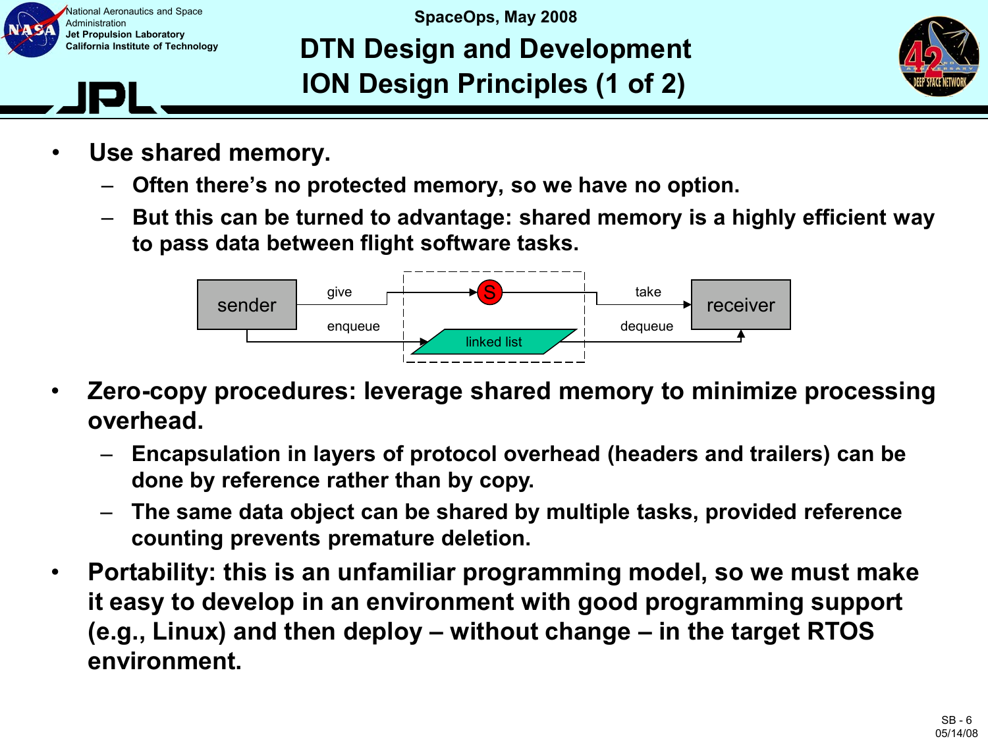

### **SpaceOps, May 2008 DTN Design and Development ION Design Principles (1 of 2)**



- **Use shared memory.**
	- **Often there's no protected memory, so we have no option.**
	- **But this can be turned to advantage: shared memory is a highly efficient way to pass data between flight software tasks.**



- **Zero-copy procedures: leverage shared memory to minimize processing overhead.**
	- **Encapsulation in layers of protocol overhead (headers and trailers) can be done by reference rather than by copy.**
	- **The same data object can be shared by multiple tasks, provided reference counting prevents premature deletion.**
- **Portability: this is an unfamiliar programming model, so we must make it easy to develop in an environment with good programming support (e.g., Linux) and then deploy – without change – in the target RTOS environment.**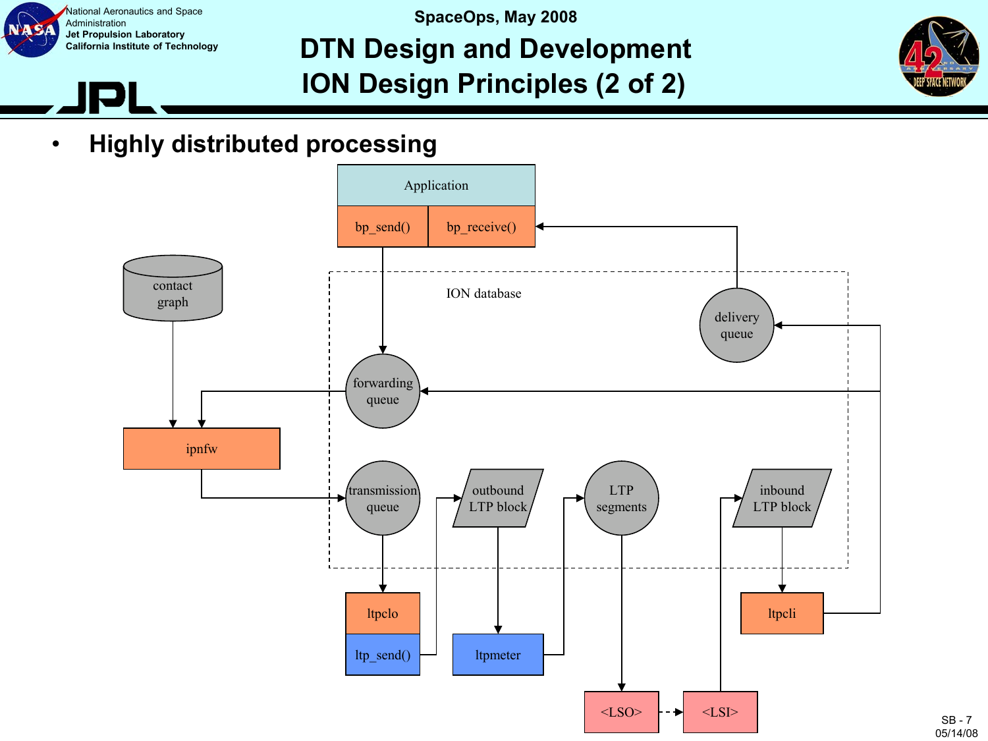

#### **SpaceOps, May 2008 DTN Design and Development ION Design Principles (2 of 2)**



• **Highly distributed processing**



SB - 7 05/14/08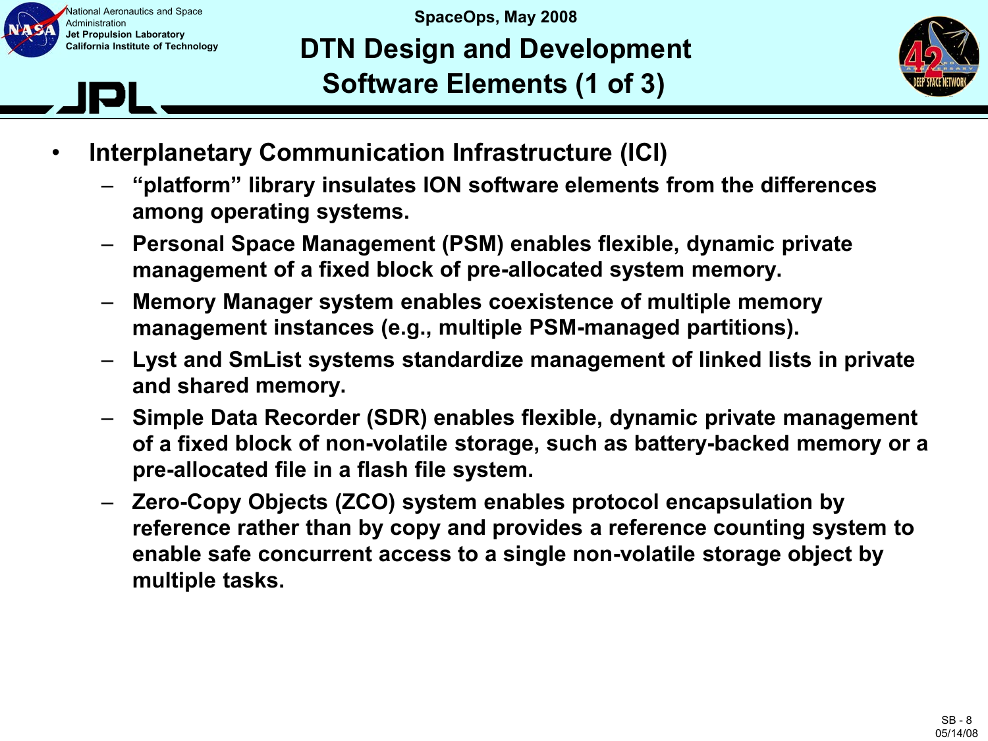

**SpaceOps, May 2008 DTN Design and Development Software Elements (1 of 3)**



- **Interplanetary Communication Infrastructure (ICI)**
	- **"platform" library insulates ION software elements from the differences among operating systems.**
	- **Personal Space Management (PSM) enables flexible, dynamic private management of a fixed block of pre-allocated system memory.**
	- **Memory Manager system enables coexistence of multiple memory management instances (e.g., multiple PSM-managed partitions).**
	- **Lyst and SmList systems standardize management of linked lists in private and shared memory.**
	- **Simple Data Recorder (SDR) enables flexible, dynamic private management of a fixed block of non-volatile storage, such as battery-backed memory or a pre-allocated file in a flash file system.**
	- **Zero-Copy Objects (ZCO) system enables protocol encapsulation by reference rather than by copy and provides a reference counting system to enable safe concurrent access to a single non-volatile storage object by multiple tasks.**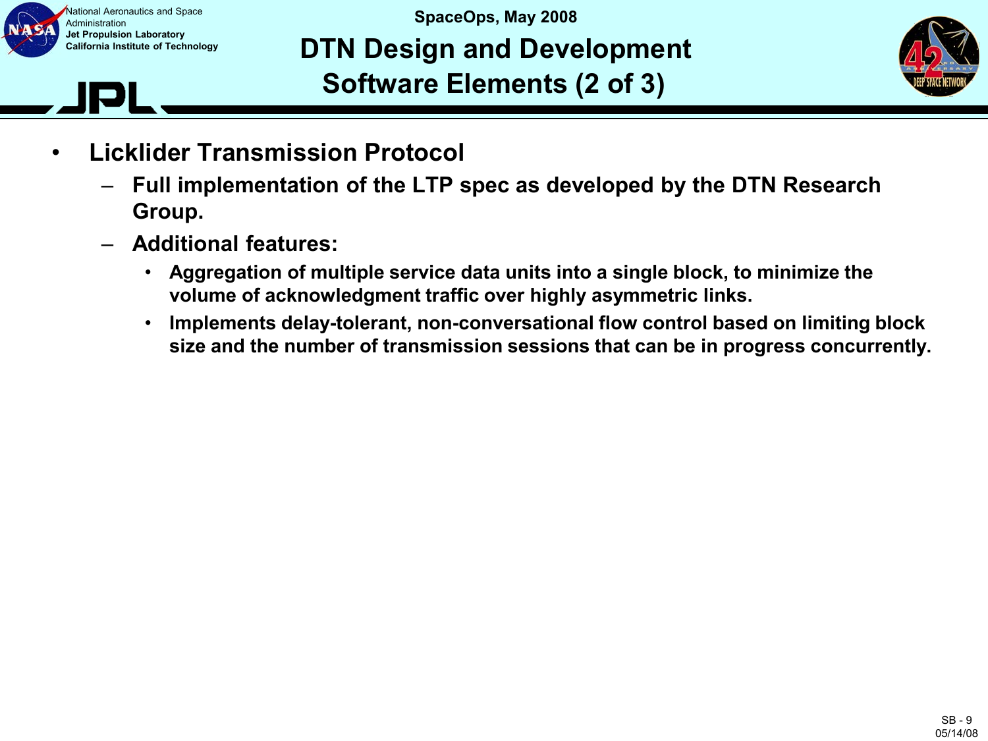

### **SpaceOps, May 2008 DTN Design and Development Software Elements (2 of 3)**



- **Licklider Transmission Protocol**
	- **Full implementation of the LTP spec as developed by the DTN Research Group.**
	- **Additional features:**
		- **Aggregation of multiple service data units into a single block, to minimize the volume of acknowledgment traffic over highly asymmetric links.**
		- **Implements delay-tolerant, non-conversational flow control based on limiting block size and the number of transmission sessions that can be in progress concurrently.**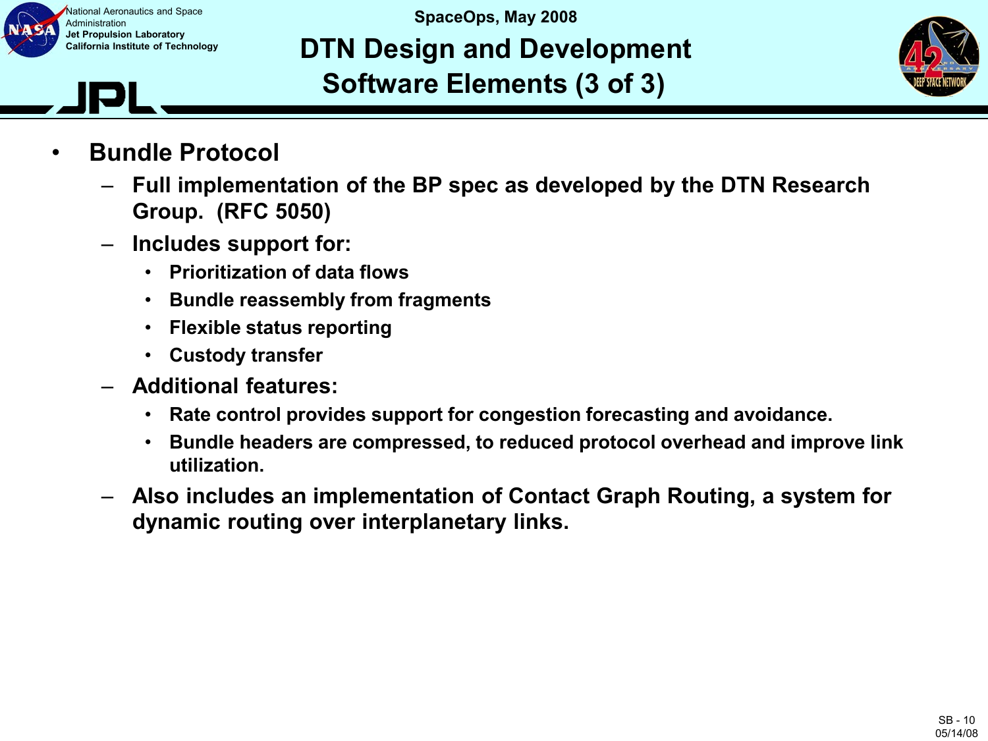

#### **SpaceOps, May 2008 DTN Design and Development Software Elements (3 of 3)**



- **Bundle Protocol**
	- **Full implementation of the BP spec as developed by the DTN Research Group. (RFC 5050)**
	- **Includes support for:**
		- **Prioritization of data flows**
		- **Bundle reassembly from fragments**
		- **Flexible status reporting**
		- **Custody transfer**
	- **Additional features:**
		- **Rate control provides support for congestion forecasting and avoidance.**
		- **Bundle headers are compressed, to reduced protocol overhead and improve link utilization.**
	- **Also includes an implementation of Contact Graph Routing, a system for dynamic routing over interplanetary links.**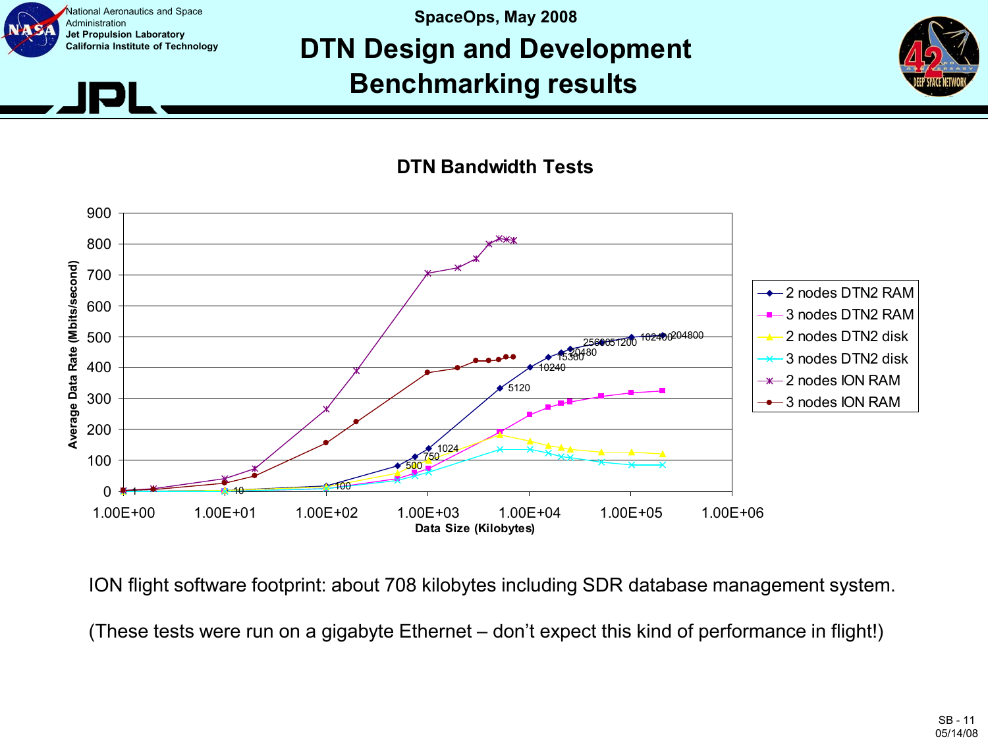

#### **SpaceOps, May 2008 DTN Design and Development Benchmarking results**



**DTN Bandwidth Tests**



ION flight software footprint: about 708 kilobytes including SDR database management system.

(These tests were run on a gigabyte Ethernet – don't expect this kind of performance in flight!)